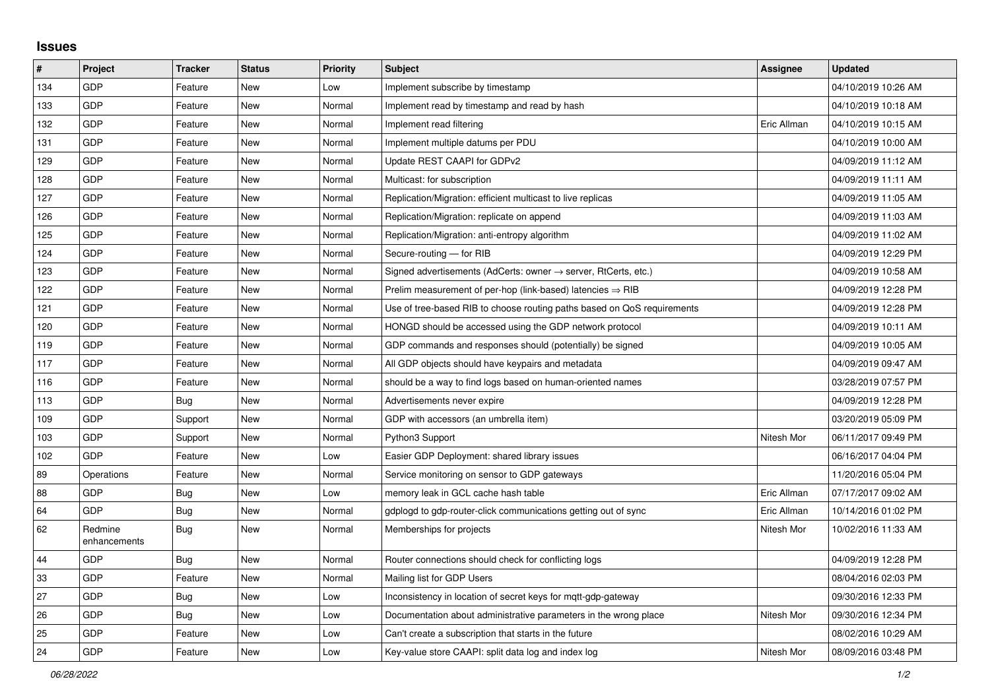## **Issues**

| #   | Project                 | <b>Tracker</b> | <b>Status</b> | Priority | <b>Subject</b>                                                             | <b>Assignee</b> | <b>Updated</b>      |
|-----|-------------------------|----------------|---------------|----------|----------------------------------------------------------------------------|-----------------|---------------------|
| 134 | GDP                     | Feature        | <b>New</b>    | Low      | Implement subscribe by timestamp                                           |                 | 04/10/2019 10:26 AM |
| 133 | GDP                     | Feature        | <b>New</b>    | Normal   | Implement read by timestamp and read by hash                               |                 | 04/10/2019 10:18 AM |
| 132 | GDP                     | Feature        | <b>New</b>    | Normal   | Implement read filtering                                                   | Eric Allman     | 04/10/2019 10:15 AM |
| 131 | GDP                     | Feature        | <b>New</b>    | Normal   | Implement multiple datums per PDU                                          |                 | 04/10/2019 10:00 AM |
| 129 | GDP                     | Feature        | <b>New</b>    | Normal   | Update REST CAAPI for GDPv2                                                |                 | 04/09/2019 11:12 AM |
| 128 | GDP                     | Feature        | <b>New</b>    | Normal   | Multicast: for subscription                                                |                 | 04/09/2019 11:11 AM |
| 127 | GDP                     | Feature        | New           | Normal   | Replication/Migration: efficient multicast to live replicas                |                 | 04/09/2019 11:05 AM |
| 126 | GDP                     | Feature        | <b>New</b>    | Normal   | Replication/Migration: replicate on append                                 |                 | 04/09/2019 11:03 AM |
| 125 | GDP                     | Feature        | <b>New</b>    | Normal   | Replication/Migration: anti-entropy algorithm                              |                 | 04/09/2019 11:02 AM |
| 124 | GDP                     | Feature        | New           | Normal   | Secure-routing - for RIB                                                   |                 | 04/09/2019 12:29 PM |
| 123 | GDP                     | Feature        | <b>New</b>    | Normal   | Signed advertisements (AdCerts: owner $\rightarrow$ server, RtCerts, etc.) |                 | 04/09/2019 10:58 AM |
| 122 | GDP                     | Feature        | New           | Normal   | Prelim measurement of per-hop (link-based) latencies $\Rightarrow$ RIB     |                 | 04/09/2019 12:28 PM |
| 121 | GDP                     | Feature        | <b>New</b>    | Normal   | Use of tree-based RIB to choose routing paths based on QoS requirements    |                 | 04/09/2019 12:28 PM |
| 120 | GDP                     | Feature        | <b>New</b>    | Normal   | HONGD should be accessed using the GDP network protocol                    |                 | 04/09/2019 10:11 AM |
| 119 | GDP                     | Feature        | <b>New</b>    | Normal   | GDP commands and responses should (potentially) be signed                  |                 | 04/09/2019 10:05 AM |
| 117 | GDP                     | Feature        | <b>New</b>    | Normal   | All GDP objects should have keypairs and metadata                          |                 | 04/09/2019 09:47 AM |
| 116 | GDP                     | Feature        | New           | Normal   | should be a way to find logs based on human-oriented names                 |                 | 03/28/2019 07:57 PM |
| 113 | GDP                     | Bug            | <b>New</b>    | Normal   | Advertisements never expire                                                |                 | 04/09/2019 12:28 PM |
| 109 | GDP                     | Support        | <b>New</b>    | Normal   | GDP with accessors (an umbrella item)                                      |                 | 03/20/2019 05:09 PM |
| 103 | GDP                     | Support        | New           | Normal   | Python3 Support                                                            | Nitesh Mor      | 06/11/2017 09:49 PM |
| 102 | GDP                     | Feature        | <b>New</b>    | Low      | Easier GDP Deployment: shared library issues                               |                 | 06/16/2017 04:04 PM |
| 89  | Operations              | Feature        | New           | Normal   | Service monitoring on sensor to GDP gateways                               |                 | 11/20/2016 05:04 PM |
| 88  | GDP                     | <b>Bug</b>     | <b>New</b>    | Low      | memory leak in GCL cache hash table                                        | Eric Allman     | 07/17/2017 09:02 AM |
| 64  | GDP                     | <b>Bug</b>     | <b>New</b>    | Normal   | gdplogd to gdp-router-click communications getting out of sync             | Eric Allman     | 10/14/2016 01:02 PM |
| 62  | Redmine<br>enhancements | Bug            | <b>New</b>    | Normal   | Memberships for projects                                                   | Nitesh Mor      | 10/02/2016 11:33 AM |
| 44  | GDP                     | <b>Bug</b>     | <b>New</b>    | Normal   | Router connections should check for conflicting logs                       |                 | 04/09/2019 12:28 PM |
| 33  | GDP                     | Feature        | <b>New</b>    | Normal   | Mailing list for GDP Users                                                 |                 | 08/04/2016 02:03 PM |
| 27  | GDP                     | <b>Bug</b>     | <b>New</b>    | Low      | Inconsistency in location of secret keys for mqtt-gdp-gateway              |                 | 09/30/2016 12:33 PM |
| 26  | GDP                     | Bug            | New           | Low      | Documentation about administrative parameters in the wrong place           | Nitesh Mor      | 09/30/2016 12:34 PM |
| 25  | GDP                     | Feature        | <b>New</b>    | Low      | Can't create a subscription that starts in the future                      |                 | 08/02/2016 10:29 AM |
| 24  | GDP                     | Feature        | <b>New</b>    | Low      | Key-value store CAAPI: split data log and index log                        | Nitesh Mor      | 08/09/2016 03:48 PM |